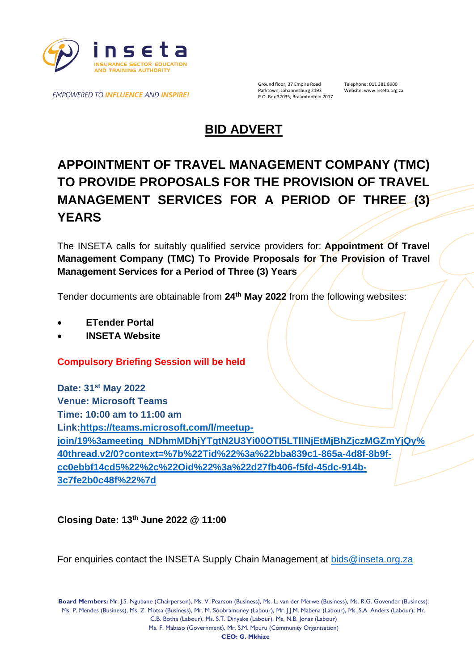

**EMPOWERED TO INFLUENCE AND INSPIRE!** 

Ground floor, 37 Empire Road Telephone: 011 381 8900<br>Parktown, Johannesburg 2193 Website: www.inseta.org. P.O. Box 32035, Braamfontein 2017

Website: www.inseta.org.za

## **BID ADVERT**

## **APPOINTMENT OF TRAVEL MANAGEMENT COMPANY (TMC) TO PROVIDE PROPOSALS FOR THE PROVISION OF TRAVEL MANAGEMENT SERVICES FOR A PERIOD OF THREE (3) YEARS**

The INSETA calls for suitably qualified service providers for: **Appointment Of Travel Management Company (TMC) To Provide Proposals for The Provision of Travel Management Services for a Period of Three (3) Years**

Tender documents are obtainable from **24th May 2022** from the following websites:

- **ETender Portal**
- **INSETA Website**

**Compulsory Briefing Session will be held**

**Date: 31st May 2022 Venue: Microsoft Teams Time: 10:00 am to 11:00 am Link[:https://teams.microsoft.com/l/meetup](https://teams.microsoft.com/l/meetup-join/19%3ameeting_NDhmMDhjYTgtN2U3Yi00OTI5LTllNjEtMjBhZjczMGZmYjQy%40thread.v2/0?context=%7b%22Tid%22%3a%22bba839c1-865a-4d8f-8b9f-cc0ebbf14cd5%22%2c%22Oid%22%3a%22d27fb406-f5fd-45dc-914b-3c7fe2b0c48f%22%7d)[join/19%3ameeting\\_NDhmMDhjYTgtN2U3Yi00OTI5LTllNjEtMjBhZjczMGZmYjQy%](https://teams.microsoft.com/l/meetup-join/19%3ameeting_NDhmMDhjYTgtN2U3Yi00OTI5LTllNjEtMjBhZjczMGZmYjQy%40thread.v2/0?context=%7b%22Tid%22%3a%22bba839c1-865a-4d8f-8b9f-cc0ebbf14cd5%22%2c%22Oid%22%3a%22d27fb406-f5fd-45dc-914b-3c7fe2b0c48f%22%7d) [40thread.v2/0?context=%7b%22Tid%22%3a%22bba839c1-865a-4d8f-8b9f](https://teams.microsoft.com/l/meetup-join/19%3ameeting_NDhmMDhjYTgtN2U3Yi00OTI5LTllNjEtMjBhZjczMGZmYjQy%40thread.v2/0?context=%7b%22Tid%22%3a%22bba839c1-865a-4d8f-8b9f-cc0ebbf14cd5%22%2c%22Oid%22%3a%22d27fb406-f5fd-45dc-914b-3c7fe2b0c48f%22%7d)[cc0ebbf14cd5%22%2c%22Oid%22%3a%22d27fb406-f5fd-45dc-914b-](https://teams.microsoft.com/l/meetup-join/19%3ameeting_NDhmMDhjYTgtN2U3Yi00OTI5LTllNjEtMjBhZjczMGZmYjQy%40thread.v2/0?context=%7b%22Tid%22%3a%22bba839c1-865a-4d8f-8b9f-cc0ebbf14cd5%22%2c%22Oid%22%3a%22d27fb406-f5fd-45dc-914b-3c7fe2b0c48f%22%7d)[3c7fe2b0c48f%22%7d](https://teams.microsoft.com/l/meetup-join/19%3ameeting_NDhmMDhjYTgtN2U3Yi00OTI5LTllNjEtMjBhZjczMGZmYjQy%40thread.v2/0?context=%7b%22Tid%22%3a%22bba839c1-865a-4d8f-8b9f-cc0ebbf14cd5%22%2c%22Oid%22%3a%22d27fb406-f5fd-45dc-914b-3c7fe2b0c48f%22%7d)**

**Closing Date: 13th June 2022 @ 11:00**

For enquiries contact the INSETA Supply Chain Management at [bids@inseta.org.za](mailto:bids@inseta.org.za)

**Board Members:** Mr. J.S. Ngubane (Chairperson), Ms. V. Pearson (Business), Ms. L. van der Merwe (Business), Ms. R.G. Govender (Business), Ms. P. Mendes (Business), Ms. Z. Motsa (Business), Mr. M. Soobramoney (Labour), Mr. J.J.M. Mabena (Labour), Ms. S.A. Anders (Labour), Mr. C.B. Botha (Labour), Ms. S.T. Dinyake (Labour), Ms. N.B. Jonas (Labour)

Ms. F. Mabaso (Government), Mr. S.M. Mpuru (Community Organisation)